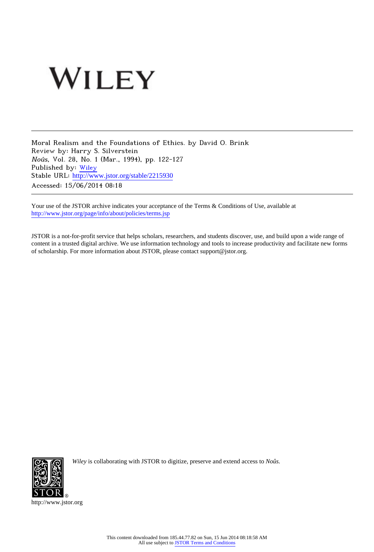## WILEY

Moral Realism and the Foundations of Ethics. by David O. Brink Review by: Harry S. Silverstein Noûs, Vol. 28, No. 1 (Mar., 1994), pp. 122-127 Published by: [Wiley](http://www.jstor.org/action/showPublisher?publisherCode=black) Stable URL: [http://www.jstor.org/stable/2215930](http://www.jstor.org/stable/2215930?origin=JSTOR-pdf) Accessed: 15/06/2014 08:18

Your use of the JSTOR archive indicates your acceptance of the Terms & Conditions of Use, available at <http://www.jstor.org/page/info/about/policies/terms.jsp>

JSTOR is a not-for-profit service that helps scholars, researchers, and students discover, use, and build upon a wide range of content in a trusted digital archive. We use information technology and tools to increase productivity and facilitate new forms of scholarship. For more information about JSTOR, please contact support@jstor.org.



*Wiley* is collaborating with JSTOR to digitize, preserve and extend access to *Noûs.*

http://www.jstor.org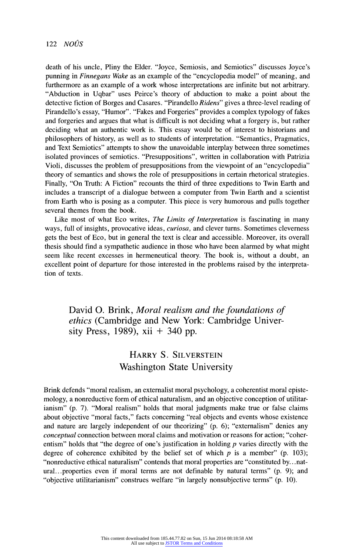**death of his uncle, Pliny the Elder. "Joyce, Semiosis, and Semiotics" discusses Joyce's punning in Finnegans Wake as an example of the "encyclopedia model" of meaning, and furthermore as an example of a work whose interpretations are infinite but not arbitrary. "Abduction in Uqbar" uses Peirce's theory of abduction to make a point about the detective fiction of Borges and Casares. "Pirandello Ridens" gives a three-level reading of Pirandello's essay, "Humor". "Fakes and Forgeries" provides a complex typology of fakes and forgeries and argues that what is difficult is not deciding what a forgery is, but rather deciding what an authentic work is. This essay would be of interest to historians and philosophers of history, as well as to students of interpretation. "Semantics, Pragmatics, and Text Semiotics" attempts to show the unavoidable interplay between three sometimes isolated provinces of semiotics. "Presuppositions", written in collaboration with Patrizia Violi, discusses the problem of presuppositions from the viewpoint of an "encyclopedia" theory of semantics and shows the role of presuppositions in certain rhetorical strategies. Finally, "On Truth: A Fiction" recounts the third of three expeditions to Twin Earth and includes a transcript of a dialogue between a computer from Twin Earth and a scientist from Earth who is posing as a computer. This piece is very humorous and pulls together several themes from the book.** 

**Like most of what Eco writes, The Limits of Interpretation is fascinating in many ways, full of insights, provocative ideas, curiosa, and clever turns. Sometimes cleverness gets the best of Eco, but in general the text is clear and accessible. Moreover, its overall thesis should find a sympathetic audience in those who have been alarmed by what might seem like recent excesses in hermeneutical theory. The book is, without a doubt, an excellent point of departure for those interested in the problems raised by the interpretation of texts.** 

**David 0. Brink, Moral realism and the foundations of ethics (Cambridge and New York: Cambridge University Press, 1989), xii + 340 pp.** 

## **HARRY S. SILVERSTEIN Washington State University**

**Brink defends "moral realism, an externalist moral psychology, a coherentist moral epistemology, a nonreductive form of ethical naturalism, and an objective conception of utilitarianism" (p. 7). "Moral realism" holds that moral judgments make true or false claims about objective "moral facts," facts concerning "real objects and events whose existence and nature are largely independent of our theorizing" (p. 6); "externalism" denies any conceptual connection between moral claims and motivation or reasons for action; "coherentism" holds that "the degree of one's justification in holding p varies directly with the**  degree of coherence exhibited by the belief set of which  $p$  is a member" (p. 103); **"nonreductive ethical naturalism" contends that moral properties are "constituted by... natural.. properties even if moral terms are not definable by natural terms" (p. 9); and "objective utilitarianism" construes welfare "in largely nonsubjective terms" (p. 10).**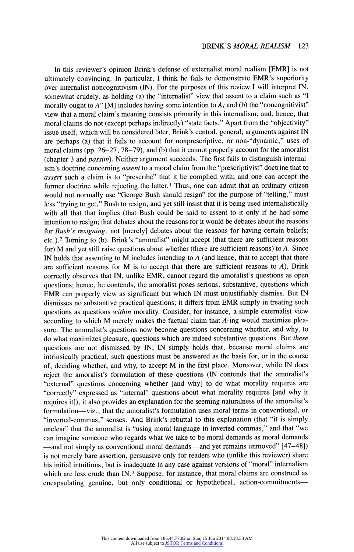**In this reviewer's opinion Brink's defense of externalist moral realism [EMR] is not ultimately convincing. In particular, I think he fails to demonstrate EMR's superiority over internalist noncognitivism (IN). For the purposes of this review I will interpret IN, somewhat crudely, as holding (a) the "internalist" view that assent to a claim such as "I**  morally ought to A" [M] includes having some intention to A; and (b) the "noncognitivist" **view that a moral claim's meaning consists primarily in this internalism, and, hence, that moral claims do not (except perhaps indirectly) "state facts." Apart from the "objectivity" issue itself, which will be considered later, Brink's central, general, arguments against IN are perhaps (a) that it fails to account for nonprescriptive, or non-"dynamic," uses of moral claims (pp. 26-27, 78-79), and (b) that it cannot properly account for the amoralist (chapter 3 and passim). Neither argument succeeds. The first fails to distinguish internalism's doctrine concerning assent to a moral claim from the "prescriptivist" doctrine that to assert such a claim is to "prescribe" that it be complied with; and one can accept the former doctrine while rejecting the latter. 1 Thus, one can admit that an ordinary citizen would not normally use "George Bush should resign" for the purpose of "telling," must less "trying to get," Bush to resign, and yet still insist that it is being used internalistically with all that that implies (that Bush could be said to assent to it only if he had some intention to resign; that debates about the reasons for it would be debates about the reasons for Bush's resigning, not [merely] debates about the reasons for having certain beliefs; etc.).2 Turning to (b), Brink's "amoralist" might accept (that there are sufficient reasons for) M and yet still raise questions about whether (there are sufficient reasons) to A. Since IN holds that assenting to M includes intending to A (and hence, that to accept that there are sufficient reasons for M is to accept that there are sufficient reasons to A), Brink correctly observes that IN, unlike EMR, cannot regard the amoralist's questions as open questions; hence, he contends, the amoralist poses serious, substantive, questions which EMR can properly view as significant but which IN must unjustifiably dismiss. But IN dismisses no substantive practical questions; it differs from EMR simply in treating such questions as questions within morality. Consider, for instance, a simple externalist view according to which M merely makes the factual claim that A-ing would maximize pleasure. The amoralist's questions now become questions concerning whether, and why, to do what maximizes pleasure, questions which are indeed substantive questions. But these questions are not dismissed by IN; IN simply holds that, because moral claims are intrinsically practical, such questions must be answered as the basis for, or in the course of, deciding whether, and why, to accept M in the first place. Moreover, while IN does reject the amoralist's formulation of these questions (IN contends that the amoralist's "external" questions concerning whether [and why] to do what morality requires are "correctly" expressed as "internal" questions about what morality requires [and why it requires it]), it also provides an explanation for the seeming naturalness of the amoralist's formulation-viz., that the amoralist's formulation uses moral terms in conventional, or "inverted-commas," senses. And Brink's rebuttal to this explanation (that "it is simply unclear" that the amoralist is "using moral language in inverted commas," and that "we can imagine someone who regards what we take to be moral demands as moral demands**  -and not simply as conventional moral demands-and yet remains unmoved" [47-48]) **is not merely bare assertion, persuasive only for readers who (unlike this reviewer) share his initial intuitions, but is inadequate in any case against versions of "moral" internalism which are less crude than IN.3 Suppose, for instance, that moral claims are construed as encapsulating genuine, but only conditional or hypothetical, action-commitments-**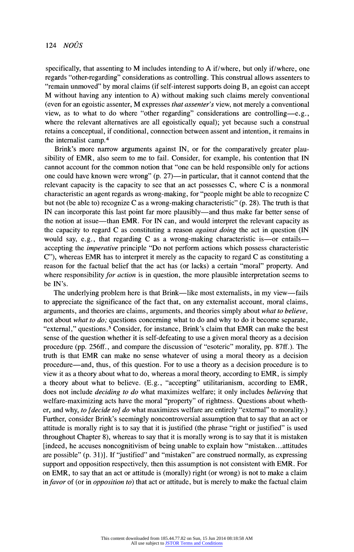**specifically, that assenting to M includes intending to A if/where, but only if/where, one regards "other-regarding" considerations as controlling. This construal allows assenters to "remain unmoved" by moral claims (if self-interest supports doing B, an egoist can accept M without having any intention to A) without making such claims merely conventional (even for an egoistic assenter, M expresses that assenter's view, not merely a conventional view, as to what to do where "other regarding" considerations are controlling-e.g., where the relevant alternatives are all egoistically equal); yet because such a construal retains a conceptual, if conditional, connection between assent and intention, it remains in the internalist camp.4** 

**Brink's more narrow arguments against IN, or for the comparatively greater plausibility of EMR, also seem to me to fail. Consider, for example, his contention that IN cannot account for the common notion that "one can be held responsible only for actions**  one could have known were wrong" (p. 27)—in particular, that it cannot contend that the **relevant capacity is the capacity to see that an act possesses C, where C is a nonmoral characteristic an agent regards as wrong-making, for "people might be able to recognize C but not (be able to) recognize C as a wrong-making characteristic" (p. 28). The truth is that**  IN can incorporate this last point far more plausibly—and thus make far better sense of **the notion at issue-than EMR. For IN can, and would interpret the relevant capacity as the capacity to regard C as constituting a reason against doing the act in question (IN**  would say, e.g., that regarding C as a wrong-making characteristic is—or entails **accepting the imperative principle "Do not perform actions which possess characteristic C"), whereas EMR has to interpret it merely as the capacity to regard C as constituting a reason for the factual belief that the act has (or lacks) a certain "moral" property. And where responsibility for action is in question, the more plausible interpretation seems to be IN's.** 

The underlying problem here is that Brink—like most externalists, in my view—fails **to appreciate the significance of the fact that, on any externalist account, moral claims, arguments, and theories are claims, arguments, and theories simply about what to believe, not about what to do; questions concerning what to do and why to do it become separate, "external," questions.5 Consider, for instance, Brink's claim that EMR can make the best sense of the question whether it is self-defeating to use a given moral theory as a decision procedure (pp. 256ff., and compare the discussion of "esoteric" morality, pp. 87ff.). The truth is that EMR can make no sense whatever of using a moral theory as a decision procedure-and, thus, of this question. For to use a theory as a decision procedure is to view it as a theory about what to do, whereas a moral theory, according to EMR, is simply a theory about what to believe. (E.g., "accepting" utilitarianism, according to EMR, does not include deciding to do what maximizes welfare; it only includes believing that welfare-maximizing acts have the moral "property" of rightness. Questions about whether, and why, to [decide to] do what maximizes welfare are entirely "external" to morality.) Further, consider Brink's seemingly noncontroversial assumption that to say that an act or attitude is morally right is to say that it is justified (the phrase "right or justified" is used throughout Chapter 8), whereas to say that it is morally wrong is to say that it is mistaken [indeed, he accuses noncognitivism of being unable to explain how "mistaken...attitudes are possible" (p. 31)]. If "justified" and "mistaken" are construed normally, as expressing support and opposition respectively, then this assumption is not consistent with EMR. For on EMR, to say that an act or attitude is (morally) right (or wrong) is not to make a claim in favor of (or in opposition to) that act or attitude, but is merely to make the factual claim**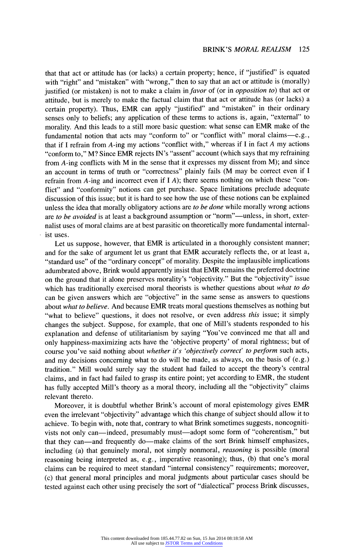## **BRINK'S MORAL REALISM 125**

**that that act or attitude has (or lacks) a certain property; hence, if "justified" is equated**  with "right" and "mistaken" with "wrong," then to say that an act or attitude is (morally) **justified (or mistaken) is not to make a claim in favor of (or in opposition to) that act or attitude, but is merely to make the factual claim that that act or attitude has (or lacks) a certain property). Thus, EMR can apply "justified" and "mistaken" in their ordinary senses only to beliefs; any application of these terms to actions is, again, "external" to morality. And this leads to a still more basic question: what sense can EMR make of the**  fundamental notion that acts may "conform to" or "conflict with" moral claims-e.g., **that if I refrain from A-ing my actions "conflict with," whereas if I in fact A my actions "conform to," M? Since EMR rejects IN's "assent" account (which says that my refraining from A-ing conflicts with M in the sense that it expresses my dissent from M); and since an account in terms of truth or "correctness" plainly fails (M may be correct even if I refrain from A-ing and incorrect even if I A); there seems nothing on which these "conflict" and "conformity" notions can get purchase. Space limitations preclude adequate discussion of this issue; but it is hard to see how the use of these notions can be explained unless the idea that morally obligatory actions are to be done while morally wrong actions**  are to be avoided is at least a background assumption or "norm"—unless, in short, exter**nalist uses of moral claims are at best parasitic on theoretically more fundamental internalist uses.** 

**Let us suppose, however, that EMR is articulated in a thoroughly consistent manner; and for the sake of argument let us grant that EMR accurately reflects the, or at least a, "standard use" of the "ordinary concept" of morality. Despite the implausible implications adumbrated above, Brink would apparently insist that EMR remains the preferred doctrine on the ground that it alone preserves morality's "objectivity." But the "objectivity" issue which has traditionally exercised moral theorists is whether questions about what to do can be given answers which are "objective" in the same sense as answers to questions about what to believe. And because EMR treats moral questions themselves as nothing but "what to believe" questions, it does not resolve, or even address this issue; it simply changes the subject. Suppose, for example, that one of Mill's students responded to his explanation and defense of utilitarianism by saying "You've convinced me that all and only happiness-maximizing acts have the 'objective property' of moral rightness; but of course you've said nothing about whether it's 'objectively correct' to perform such acts, and my decisions concerning what to do will be made, as always, on the basis of (e.g.) tradition." Mill would surely say the student had failed to accept the theory's central claims, and in fact had failed to grasp its entire point; yet according to EMR, the student has fully accepted Mill's theory as a moral theory, including all the "objectivity" claims relevant thereto.** 

**Moreover, it is doubtful whether Brink's account of moral epistemology gives EMR even the irrelevant "objectivity" advantage which this change of subject should allow it to achieve. To begin with, note that, contrary to what Brink sometimes suggests, noncogniti**vists not only can-indeed, presumably must-adopt some form of "coherentism," but that they can-and frequently do-make claims of the sort Brink himself emphasizes, **including (a) that genuinely moral, not simply nonmoral, reasoning is possible (moral reasoning being interpreted as, e.g., imperative reasoning); thus, (b) that one's moral claims can be required to meet standard "internal consistency" requirements; moreover, (c) that general moral principles and moral judgments about particular cases should be tested against each other using precisely the sort of "dialectical" process Brink discusses,**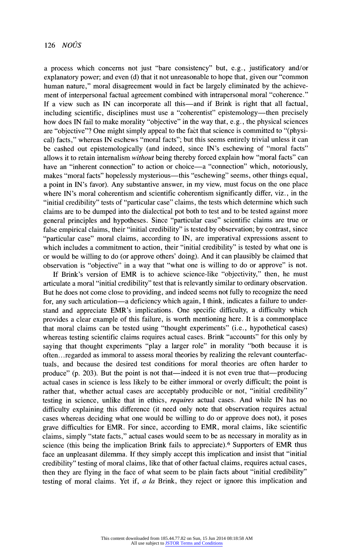**a process which concerns not just "bare consistency" but, e.g., justificatory and/or explanatory power; and even (d) that it not unreasonable to hope that, given our "common human nature," moral disagreement would in fact be largely eliminated by the achievement of interpersonal factual agreement combined with intrapersonal moral "coherence."**  If a view such as IN can incorporate all this—and if Brink is right that all factual, **including scientific, disciplines must use a "coherentist" epistemology-then precisely how does IN fail to make morality "objective" in the way that, e.g., the physical sciences are "objective"? One might simply appeal to the fact that science is committed to "(physical) facts," whereas IN eschews "moral facts"; but this seems entirely trivial unless it can be cashed out epistemologically (and indeed, since IN's eschewing of "moral facts" allows it to retain internalism without being thereby forced explain how "moral facts" can**  have an "inherent connection" to action or choice—a "connection" which, notoriously, makes "moral facts" hopelessly mysterious—this "eschewing" seems, other things equal, **a point in IN's favor). Any substantive answer, in my view, must focus on the one place where IN's moral coherentism and scientific coherentism significantly differ, viz., in the "initial credibility" tests of "particular case" claims, the tests which determine which such claims are to be dumped into the dialectical pot both to test and to be tested against more general principles and hypotheses. Since "particular case" scientific claims are true or false empirical claims, their "initial credibility" is tested by observation; by contrast, since "particular case" moral claims, according to IN, are imperatival expressions assent to which includes a commitment to action, their "initial credibility" is tested by what one is or would be willing to do (or approve others' doing). And it can plausibly be claimed that observation is "objective" in a way that "what one is willing to do or approve" is not.** 

**If Brink's version of EMR is to achieve science-like "objectivity," then, he must articulate a moral "initial credibility" test that is relevantly similar to ordinary observation. But he does not come close to providing, and indeed seems not fully to recognize the need**  for, any such articulation—a deficiency which again, I think, indicates a failure to under**stand and appreciate EMR's implications. One specific difficulty, a difficulty which provides a clear example of this failure, is worth mentioning here. It is a commonplace that moral claims can be tested using "thought experiments" (i.e., hypothetical cases) whereas testing scientific claims requires actual cases. Brink "accounts" for this only by saying that thought experiments "play a larger role" in morality "both because it is often...regarded as immoral to assess moral theories by realizing the relevant counterfactuals, and because the desired test conditions for moral theories are often harder to produce" (p. 203). But the point is not that-indeed it is not even true that-producing actual cases in science is less likely to be either immoral or overly difficult; the point is rather that, whether actual cases are acceptably producible or not, "initial credibility" testing in science, unlike that in ethics, requires actual cases. And while IN has no difficulty explaining this difference (it need only note that observation requires actual cases whereas deciding what one would be willing to do or approve does not), it poses grave difficulties for EMR. For since, according to EMR, moral claims, like scientific claims, simply "state facts," actual cases would seem to be as necessary in morality as in science (this being the implication Brink fails to appreciate).6 Supporters of EMR thus face an unpleasant dilemma. If they simply accept this implication and insist that "initial credibility" testing of moral claims, like that of other factual claims, requires actual cases, then they are flying in the face of what seem to be plain facts about "initial credibility" testing of moral claims. Yet if, a la Brink, they reject or ignore this implication and**